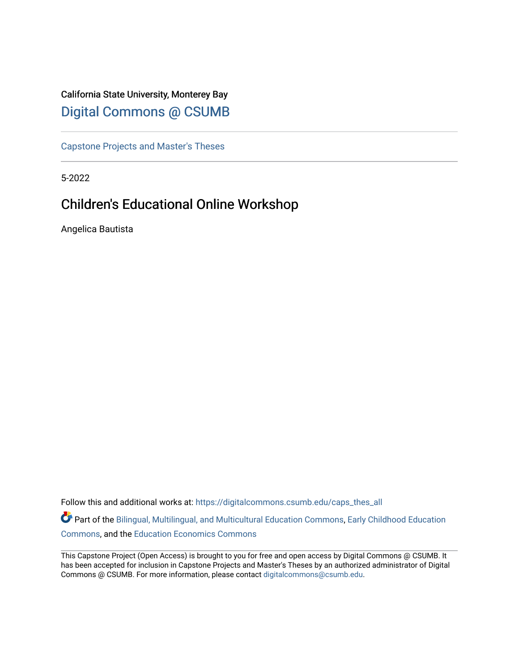# California State University, Monterey Bay [Digital Commons @ CSUMB](https://digitalcommons.csumb.edu/)

[Capstone Projects and Master's Theses](https://digitalcommons.csumb.edu/caps_thes_all)

5-2022

# Children's Educational Online Workshop

Angelica Bautista

Follow this and additional works at: [https://digitalcommons.csumb.edu/caps\\_thes\\_all](https://digitalcommons.csumb.edu/caps_thes_all?utm_source=digitalcommons.csumb.edu%2Fcaps_thes_all%2F1281&utm_medium=PDF&utm_campaign=PDFCoverPages)

Part of the [Bilingual, Multilingual, and Multicultural Education Commons,](https://network.bepress.com/hgg/discipline/785?utm_source=digitalcommons.csumb.edu%2Fcaps_thes_all%2F1281&utm_medium=PDF&utm_campaign=PDFCoverPages) [Early Childhood Education](https://network.bepress.com/hgg/discipline/1377?utm_source=digitalcommons.csumb.edu%2Fcaps_thes_all%2F1281&utm_medium=PDF&utm_campaign=PDFCoverPages) [Commons](https://network.bepress.com/hgg/discipline/1377?utm_source=digitalcommons.csumb.edu%2Fcaps_thes_all%2F1281&utm_medium=PDF&utm_campaign=PDFCoverPages), and the [Education Economics Commons](https://network.bepress.com/hgg/discipline/1262?utm_source=digitalcommons.csumb.edu%2Fcaps_thes_all%2F1281&utm_medium=PDF&utm_campaign=PDFCoverPages) 

This Capstone Project (Open Access) is brought to you for free and open access by Digital Commons @ CSUMB. It has been accepted for inclusion in Capstone Projects and Master's Theses by an authorized administrator of Digital Commons @ CSUMB. For more information, please contact [digitalcommons@csumb.edu](mailto:digitalcommons@csumb.edu).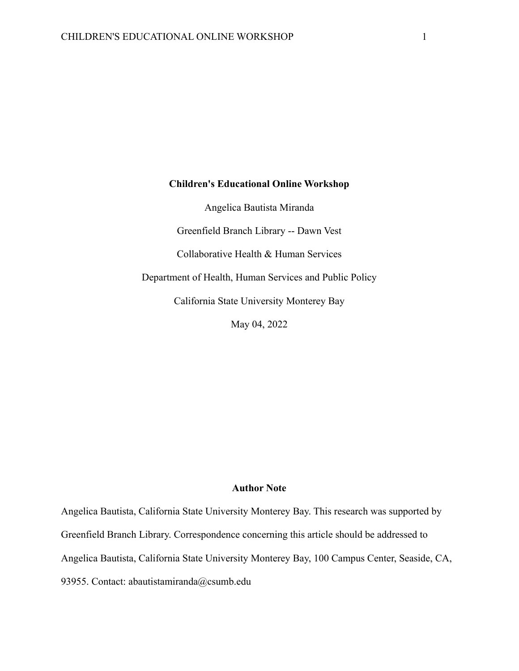## **Children's Educational Online Workshop**

Angelica Bautista Miranda Greenfield Branch Library -- Dawn Vest Collaborative Health & Human Services Department of Health, Human Services and Public Policy California State University Monterey Bay May 04, 2022

## **Author Note**

Angelica Bautista, California State University Monterey Bay. This research was supported by Greenfield Branch Library. Correspondence concerning this article should be addressed to Angelica Bautista, California State University Monterey Bay, 100 Campus Center, Seaside, CA, 93955. Contact: abautistamiranda@csumb.edu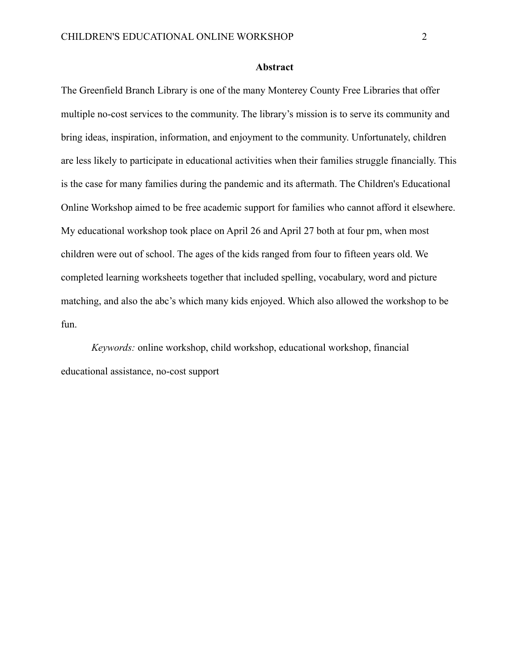#### **Abstract**

The Greenfield Branch Library is one of the many Monterey County Free Libraries that offer multiple no-cost services to the community. The library's mission is to serve its community and bring ideas, inspiration, information, and enjoyment to the community. Unfortunately, children are less likely to participate in educational activities when their families struggle financially. This is the case for many families during the pandemic and its aftermath. The Children's Educational Online Workshop aimed to be free academic support for families who cannot afford it elsewhere. My educational workshop took place on April 26 and April 27 both at four pm, when most children were out of school. The ages of the kids ranged from four to fifteen years old. We completed learning worksheets together that included spelling, vocabulary, word and picture matching, and also the abc's which many kids enjoyed. Which also allowed the workshop to be fun.

*Keywords:* online workshop, child workshop, educational workshop, financial educational assistance, no-cost support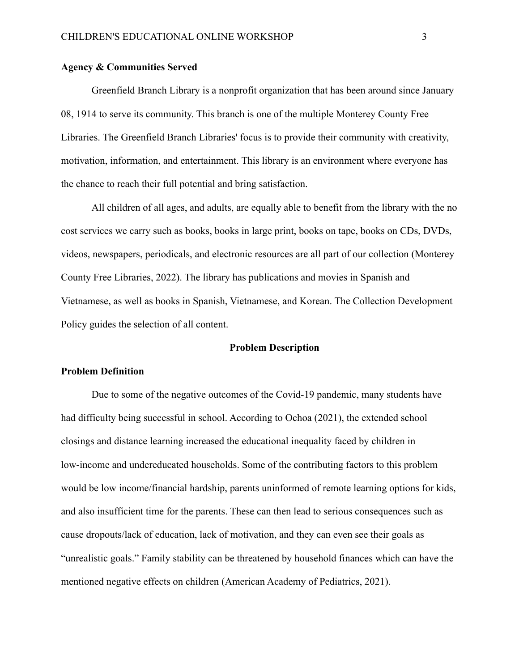#### **Agency & Communities Served**

Greenfield Branch Library is a nonprofit organization that has been around since January 08, 1914 to serve its community. This branch is one of the multiple Monterey County Free Libraries. The Greenfield Branch Libraries' focus is to provide their community with creativity, motivation, information, and entertainment. This library is an environment where everyone has the chance to reach their full potential and bring satisfaction.

All children of all ages, and adults, are equally able to benefit from the library with the no cost services we carry such as books, books in large print, books on tape, books on CDs, DVDs, videos, newspapers, periodicals, and electronic resources are all part of our collection (Monterey County Free Libraries, 2022). The library has publications and movies in Spanish and Vietnamese, as well as books in Spanish, Vietnamese, and Korean. The Collection Development Policy guides the selection of all content.

#### **Problem Description**

#### **Problem Definition**

Due to some of the negative outcomes of the Covid-19 pandemic, many students have had difficulty being successful in school. According to Ochoa (2021), the extended school closings and distance learning increased the educational inequality faced by children in low-income and undereducated households. Some of the contributing factors to this problem would be low income/financial hardship, parents uninformed of remote learning options for kids, and also insufficient time for the parents. These can then lead to serious consequences such as cause dropouts/lack of education, lack of motivation, and they can even see their goals as "unrealistic goals." Family stability can be threatened by household finances which can have the mentioned negative effects on children (American Academy of Pediatrics, 2021).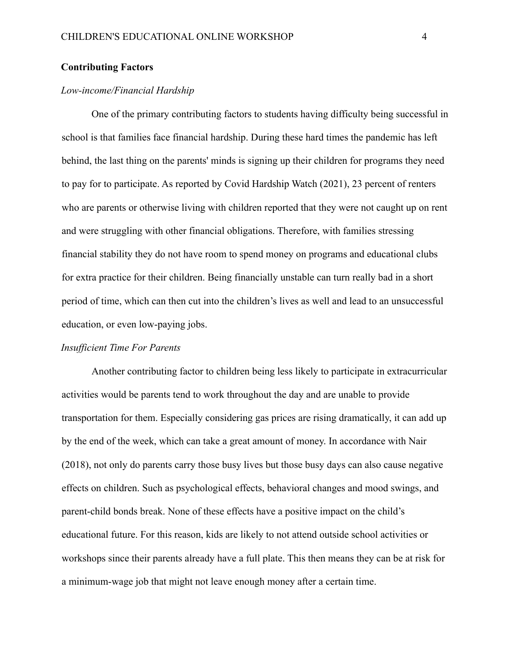#### **Contributing Factors**

### *Low-income/Financial Hardship*

One of the primary contributing factors to students having difficulty being successful in school is that families face financial hardship. During these hard times the pandemic has left behind, the last thing on the parents' minds is signing up their children for programs they need to pay for to participate. As reported by Covid Hardship Watch (2021), 23 percent of renters who are parents or otherwise living with children reported that they were not caught up on rent and were struggling with other financial obligations. Therefore, with families stressing financial stability they do not have room to spend money on programs and educational clubs for extra practice for their children. Being financially unstable can turn really bad in a short period of time, which can then cut into the children's lives as well and lead to an unsuccessful education, or even low-paying jobs.

#### *Insufficient Time For Parents*

Another contributing factor to children being less likely to participate in extracurricular activities would be parents tend to work throughout the day and are unable to provide transportation for them. Especially considering gas prices are rising dramatically, it can add up by the end of the week, which can take a great amount of money. In accordance with Nair (2018), not only do parents carry those busy lives but those busy days can also cause negative effects on children. Such as psychological effects, behavioral changes and mood swings, and parent-child bonds break. None of these effects have a positive impact on the child's educational future. For this reason, kids are likely to not attend outside school activities or workshops since their parents already have a full plate. This then means they can be at risk for a minimum-wage job that might not leave enough money after a certain time.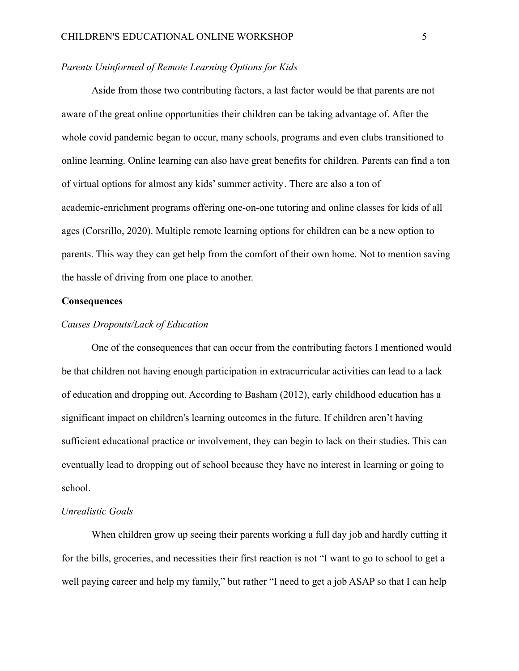#### *Parents Uninformed of Remote Learning Options for Kids*

Aside from those two contributing factors, a last factor would be that parents are not aware of the great online opportunities their children can be taking advantage of. After the whole covid pandemic began to occur, many schools, programs and even clubs transitioned to online learning. Online learning can also have great benefits for children. Parents can find a ton of virtual options for almost any [kids' summer activity](https://nymag.com/strategist/article/how-to-keep-kids-busy.html). There are also a ton of academic-enrichment programs offering one-on-one tutoring and [online classes](https://nymag.com/strategist/article/online-classes-guide.html) for kids of all ages (Corsrillo, 2020). Multiple remote learning options for children can be a new option to parents. This way they can get help from the comfort of their own home. Not to mention saving the hassle of driving from one place to another.

#### **Consequences**

#### *Causes Dropouts/Lack of Education*

One of the consequences that can occur from the contributing factors I mentioned would be that children not having enough participation in extracurricular activities can lead to a lack of education and dropping out. According to Basham (2012), early childhood education has a significant impact on children's learning outcomes in the future. If children aren't having sufficient educational practice or involvement, they can begin to lack on their studies. This can eventually lead to dropping out of school because they have no interest in learning or going to school.

#### *Unrealistic Goals*

When children grow up seeing their parents working a full day job and hardly cutting it for the bills, groceries, and necessities their first reaction is not "I want to go to school to get a well paying career and help my family," but rather "I need to get a job ASAP so that I can help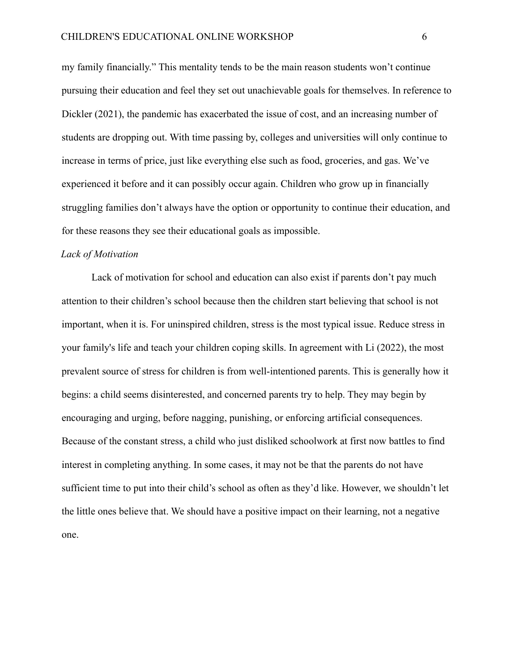my family financially." This mentality tends to be the main reason students won't continue pursuing their education and feel they set out unachievable goals for themselves. In reference to Dickler (2021), the pandemic has exacerbated the issue of cost, and an increasing number of students are dropping out. With time passing by, colleges and universities will only continue to increase in terms of price, just like everything else such as food, groceries, and gas. We've experienced it before and it can possibly occur again. Children who grow up in financially struggling families don't always have the option or opportunity to continue their education, and for these reasons they see their educational goals as impossible.

#### *Lack of Motivation*

Lack of motivation for school and education can also exist if parents don't pay much attention to their children's school because then the children start believing that school is not important, when it is. For uninspired children, stress is the most typical issue. Reduce stress in your family's life and teach your children coping skills. In agreement with Li (2022), the most prevalent source of stress for children is from well-intentioned parents. This is generally how it begins: a child seems disinterested, and concerned parents try to help. They may begin by encouraging and urging, before nagging, punishing, or enforcing artificial consequences. Because of the constant stress, a child who just disliked schoolwork at first now battles to find interest in completing anything. In some cases, it may not be that the parents do not have sufficient time to put into their child's school as often as they'd like. However, we shouldn't let the little ones believe that. We should have a positive impact on their learning, not a negative one.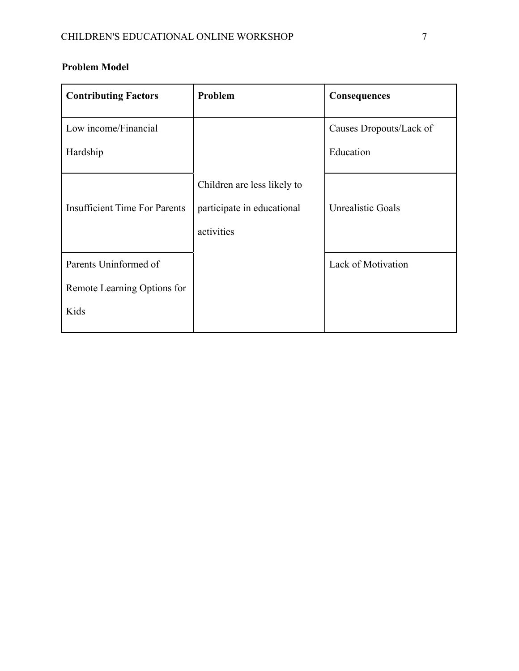# **Problem Model**

| <b>Contributing Factors</b>          | Problem                     | Consequences              |
|--------------------------------------|-----------------------------|---------------------------|
| Low income/Financial                 |                             | Causes Dropouts/Lack of   |
| Hardship                             |                             | Education                 |
|                                      | Children are less likely to |                           |
| <b>Insufficient Time For Parents</b> | participate in educational  | <b>Unrealistic Goals</b>  |
|                                      | activities                  |                           |
| Parents Uninformed of                |                             | <b>Lack of Motivation</b> |
| Remote Learning Options for          |                             |                           |
| Kids                                 |                             |                           |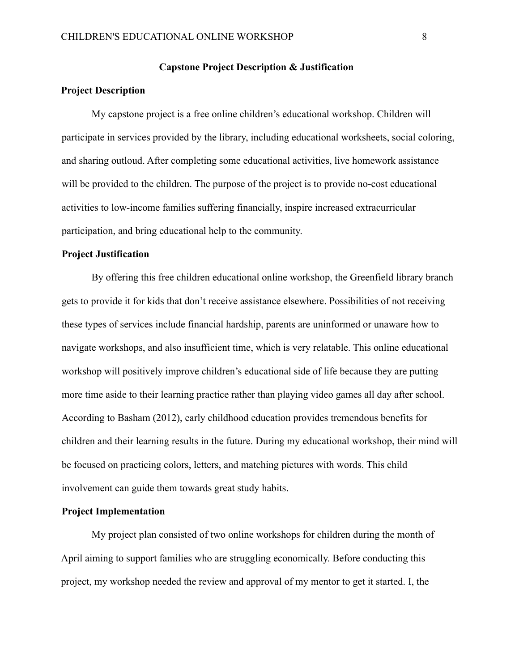#### **Capstone Project Description & Justification**

### **Project Description**

My capstone project is a free online children's educational workshop. Children will participate in services provided by the library, including educational worksheets, social coloring, and sharing outloud. After completing some educational activities, live homework assistance will be provided to the children. The purpose of the project is to provide no-cost educational activities to low-income families suffering financially, inspire increased extracurricular participation, and bring educational help to the community.

#### **Project Justification**

By offering this free children educational online workshop, the Greenfield library branch gets to provide it for kids that don't receive assistance elsewhere. Possibilities of not receiving these types of services include financial hardship, parents are uninformed or unaware how to navigate workshops, and also insufficient time, which is very relatable. This online educational workshop will positively improve children's educational side of life because they are putting more time aside to their learning practice rather than playing video games all day after school. According to Basham (2012), early childhood education provides tremendous benefits for children and their learning results in the future. During my educational workshop, their mind will be focused on practicing colors, letters, and matching pictures with words. This child involvement can guide them towards great study habits.

#### **Project Implementation**

My project plan consisted of two online workshops for children during the month of April aiming to support families who are struggling economically. Before conducting this project, my workshop needed the review and approval of my mentor to get it started. I, the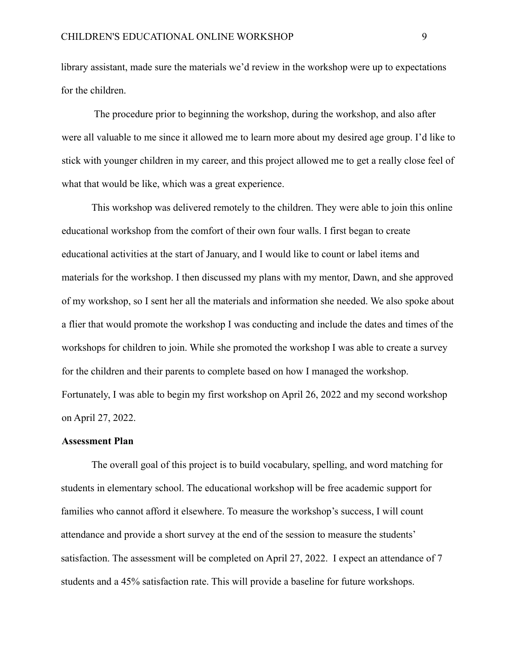library assistant, made sure the materials we'd review in the workshop were up to expectations for the children.

The procedure prior to beginning the workshop, during the workshop, and also after were all valuable to me since it allowed me to learn more about my desired age group. I'd like to stick with younger children in my career, and this project allowed me to get a really close feel of what that would be like, which was a great experience.

This workshop was delivered remotely to the children. They were able to join this online educational workshop from the comfort of their own four walls. I first began to create educational activities at the start of January, and I would like to count or label items and materials for the workshop. I then discussed my plans with my mentor, Dawn, and she approved of my workshop, so I sent her all the materials and information she needed. We also spoke about a flier that would promote the workshop I was conducting and include the dates and times of the workshops for children to join. While she promoted the workshop I was able to create a survey for the children and their parents to complete based on how I managed the workshop. Fortunately, I was able to begin my first workshop on April 26, 2022 and my second workshop on April 27, 2022.

#### **Assessment Plan**

The overall goal of this project is to build vocabulary, spelling, and word matching for students in elementary school. The educational workshop will be free academic support for families who cannot afford it elsewhere. To measure the workshop's success, I will count attendance and provide a short survey at the end of the session to measure the students' satisfaction. The assessment will be completed on April 27, 2022. I expect an attendance of 7 students and a 45% satisfaction rate. This will provide a baseline for future workshops.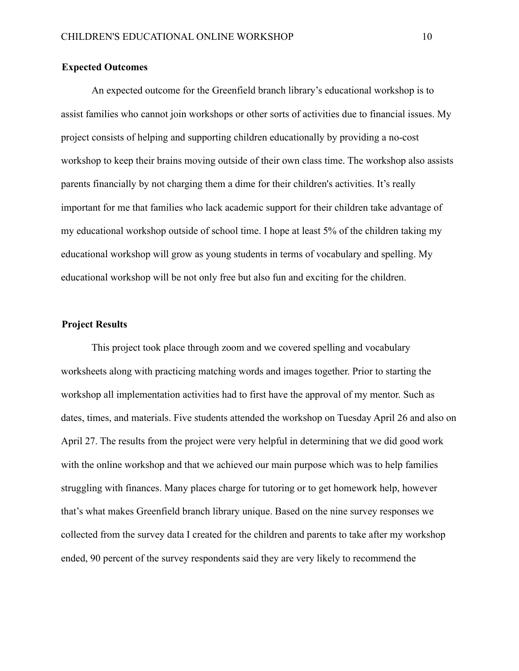### **Expected Outcomes**

An expected outcome for the Greenfield branch library's educational workshop is to assist families who cannot join workshops or other sorts of activities due to financial issues. My project consists of helping and supporting children educationally by providing a no-cost workshop to keep their brains moving outside of their own class time. The workshop also assists parents financially by not charging them a dime for their children's activities. It's really important for me that families who lack academic support for their children take advantage of my educational workshop outside of school time. I hope at least 5% of the children taking my educational workshop will grow as young students in terms of vocabulary and spelling. My educational workshop will be not only free but also fun and exciting for the children.

#### **Project Results**

This project took place through zoom and we covered spelling and vocabulary worksheets along with practicing matching words and images together. Prior to starting the workshop all implementation activities had to first have the approval of my mentor. Such as dates, times, and materials. Five students attended the workshop on Tuesday April 26 and also on April 27. The results from the project were very helpful in determining that we did good work with the online workshop and that we achieved our main purpose which was to help families struggling with finances. Many places charge for tutoring or to get homework help, however that's what makes Greenfield branch library unique. Based on the nine survey responses we collected from the survey data I created for the children and parents to take after my workshop ended, 90 percent of the survey respondents said they are very likely to recommend the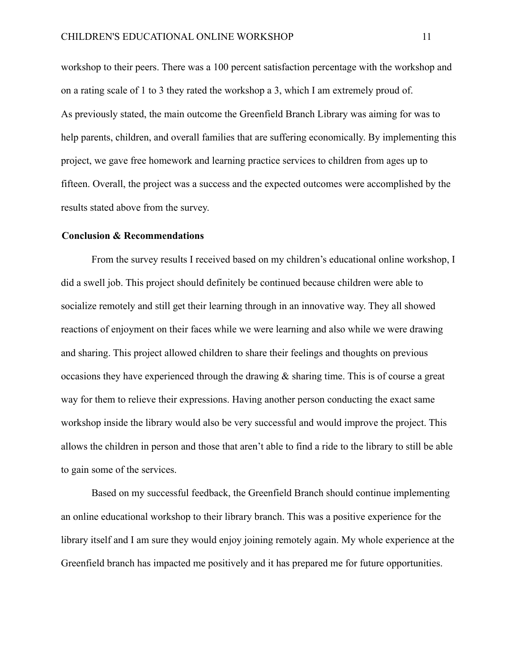workshop to their peers. There was a 100 percent satisfaction percentage with the workshop and on a rating scale of 1 to 3 they rated the workshop a 3, which I am extremely proud of. As previously stated, the main outcome the Greenfield Branch Library was aiming for was to help parents, children, and overall families that are suffering economically. By implementing this project, we gave free homework and learning practice services to children from ages up to fifteen. Overall, the project was a success and the expected outcomes were accomplished by the results stated above from the survey.

#### **Conclusion & Recommendations**

From the survey results I received based on my children's educational online workshop, I did a swell job. This project should definitely be continued because children were able to socialize remotely and still get their learning through in an innovative way. They all showed reactions of enjoyment on their faces while we were learning and also while we were drawing and sharing. This project allowed children to share their feelings and thoughts on previous occasions they have experienced through the drawing & sharing time. This is of course a great way for them to relieve their expressions. Having another person conducting the exact same workshop inside the library would also be very successful and would improve the project. This allows the children in person and those that aren't able to find a ride to the library to still be able to gain some of the services.

Based on my successful feedback, the Greenfield Branch should continue implementing an online educational workshop to their library branch. This was a positive experience for the library itself and I am sure they would enjoy joining remotely again. My whole experience at the Greenfield branch has impacted me positively and it has prepared me for future opportunities.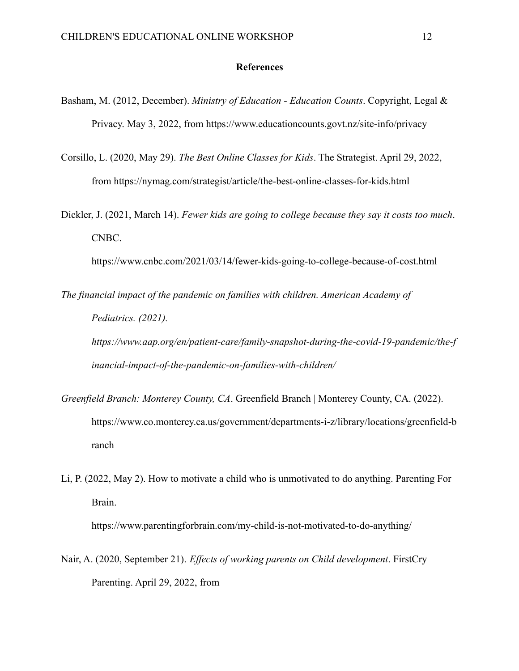#### **References**

- Basham, M. (2012, December). *Ministry of Education Education Counts*. Copyright, Legal & Privacy. May 3, 2022, from https://www.educationcounts.govt.nz/site-info/privacy
- Corsillo, L. (2020, May 29). *The Best Online Classes for Kids*. The Strategist. April 29, 2022, from https://nymag.com/strategist/article/the-best-online-classes-for-kids.html
- Dickler, J. (2021, March 14). *Fewer kids are going to college because they say it costs too much*. CNBC.

https://www.cnbc.com/2021/03/14/fewer-kids-going-to-college-because-of-cost.html

*The financial impact of the pandemic on families with children. American Academy of Pediatrics. (2021).*

*https://www.aap.org/en/patient-care/family-snapshot-during-the-covid-19-pandemic/the-f inancial-impact-of-the-pandemic-on-families-with-children/*

- *Greenfield Branch: Monterey County, CA*. Greenfield Branch | Monterey County, CA. (2022). https://www.co.monterey.ca.us/government/departments-i-z/library/locations/greenfield-b ranch
- Li, P. (2022, May 2). How to motivate a child who is unmotivated to do anything. Parenting For Brain.

https://www.parentingforbrain.com/my-child-is-not-motivated-to-do-anything/

Nair, A. (2020, September 21). *Effects of working parents on Child development*. FirstCry Parenting. April 29, 2022, from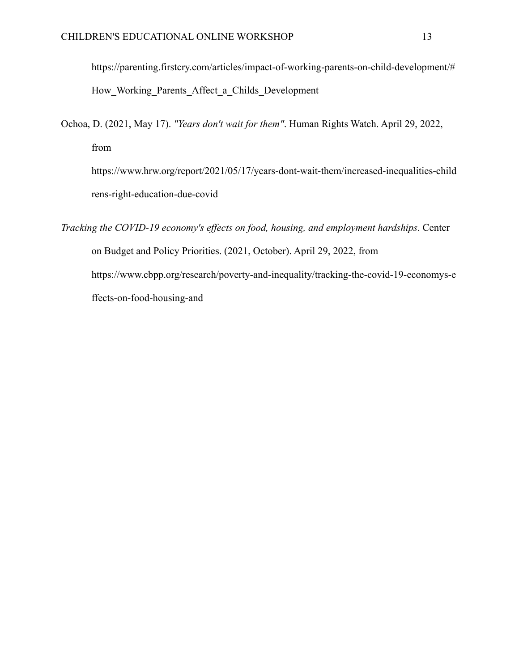https://parenting.firstcry.com/articles/impact-of-working-parents-on-child-development/# How Working Parents Affect a Childs Development

Ochoa, D. (2021, May 17). *"Years don't wait for them"*. Human Rights Watch. April 29, 2022, from https://www.hrw.org/report/2021/05/17/years-dont-wait-them/increased-inequalities-child rens-right-education-due-covid

*Tracking the COVID-19 economy's effects on food, housing, and employment hardships*. Center on Budget and Policy Priorities. (2021, October). April 29, 2022, from https://www.cbpp.org/research/poverty-and-inequality/tracking-the-covid-19-economys-e ffects-on-food-housing-and